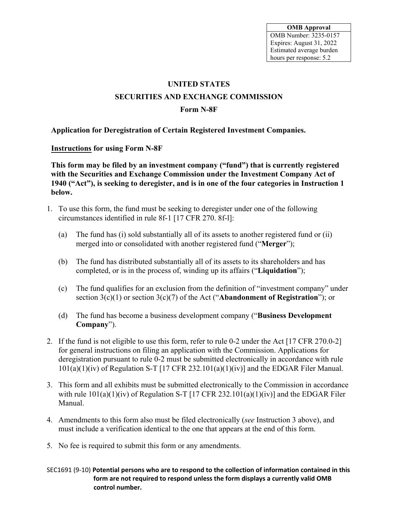**OMB Approval** OMB Number: 3235-0157 Expires: August 31, 2022 Estimated average burden hours per response: 5.2

# **UNITED STATES SECURITIES AND EXCHANGE COMMISSION**

#### **Form N-8F**

**Application for Deregistration of Certain Registered Investment Companies.**

**Instructions for using Form N-8F** 

**This form may be filed by an investment company ("fund") that is currently registered with the Securities and Exchange Commission under the Investment Company Act of 1940 ("Act"), is seeking to deregister, and is in one of the four categories in Instruction 1 below.**

- 1. To use this form, the fund must be seeking to deregister under one of the following circumstances identified in rule 8f-1 [17 CFR 270. 8f-l]:
	- (a) The fund has (i) sold substantially all of its assets to another registered fund or (ii) merged into or consolidated with another registered fund ("**Merger**");
	- (b) The fund has distributed substantially all of its assets to its shareholders and has completed, or is in the process of, winding up its affairs ("**Liquidation**");
	- (c) The fund qualifies for an exclusion from the definition of "investment company" under section 3(c)(1) or section 3(c)(7) of the Act ("**Abandonment of Registration**"); or
	- (d) The fund has become a business development company ("**Business Development Company**").
- 2. If the fund is not eligible to use this form, refer to rule 0-2 under the Act [17 CFR 270.0-2] for general instructions on filing an application with the Commission. Applications for deregistration pursuant to rule 0-2 must be submitted electronically in accordance with rule  $101(a)(1)(iv)$  of Regulation S-T [17 CFR 232.101(a)(1)(iv)] and the EDGAR Filer Manual.
- 3. This form and all exhibits must be submitted electronically to the Commission in accordance with rule  $101(a)(1)(iv)$  of Regulation S-T [17 CFR 232.101(a)(1)(iv)] and the EDGAR Filer Manual.
- 4. Amendments to this form also must be filed electronically (*see* Instruction 3 above), and must include a verification identical to the one that appears at the end of this form.
- 5. No fee is required to submit this form or any amendments.

SEC1691 (9-10) **Potential persons who are to respond to the collection of information contained in this form are not required to respond unless the form displays a currently valid OMB control number.**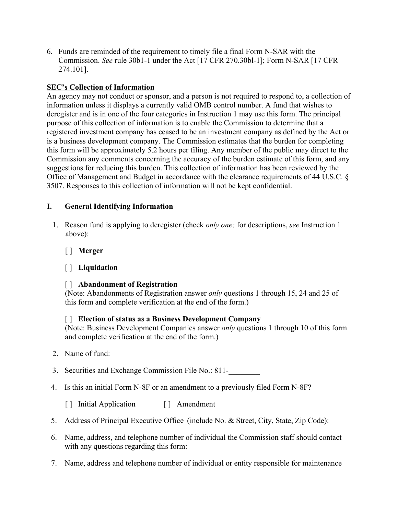6. Funds are reminded of the requirement to timely file a final Form N-SAR with the Commission. *See* rule 30b1-1 under the Act [17 CFR 270.30bl-1]; Form N-SAR [17 CFR 274.101].

## **SEC's Collection of Information**

An agency may not conduct or sponsor, and a person is not required to respond to, a collection of information unless it displays a currently valid OMB control number. A fund that wishes to deregister and is in one of the four categories in Instruction 1 may use this form. The principal purpose of this collection of information is to enable the Commission to determine that a registered investment company has ceased to be an investment company as defined by the Act or is a business development company. The Commission estimates that the burden for completing this form will be approximately 5.2 hours per filing. Any member of the public may direct to the Commission any comments concerning the accuracy of the burden estimate of this form, and any suggestions for reducing this burden. This collection of information has been reviewed by the Office of Management and Budget in accordance with the clearance requirements of 44 U.S.C. § 3507. Responses to this collection of information will not be kept confidential.

## **I. General Identifying Information**

- 1. Reason fund is applying to deregister (check *only one;* for descriptions, *see* Instruction 1 above):
	- [ ] **Merger**

## [ ] **Liquidation**

### [ ] **Abandonment of Registration**

(Note: Abandonments of Registration answer *only* questions 1 through 15, 24 and 25 of this form and complete verification at the end of the form.)

### [ ] **Election of status as a Business Development Company**

(Note: Business Development Companies answer *only* questions 1 through 10 of this form and complete verification at the end of the form.)

- 2. Name of fund:
- 3. Securities and Exchange Commission File No.: 811-
- 4. Is this an initial Form N-8F or an amendment to a previously filed Form N-8F?

[ ] Initial Application [ ] Amendment

- 5. Address of Principal Executive Office (include No. & Street, City, State, Zip Code):
- 6. Name, address, and telephone number of individual the Commission staff should contact with any questions regarding this form:
- 7. Name, address and telephone number of individual or entity responsible for maintenance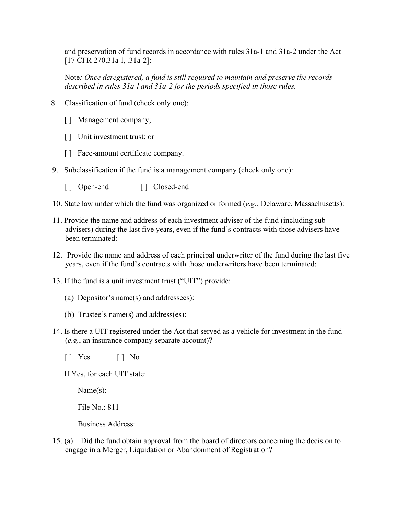and preservation of fund records in accordance with rules 31a-1 and 31a-2 under the Act [17 CFR 270.31a-l, .31a-2]:

Note*: Once deregistered, a fund is still required to maintain and preserve the records described in rules 31a-l and 31a-2 for the periods specified in those rules.*

- 8. Classification of fund (check only one):
	- [] Management company;
	- [ ] Unit investment trust; or
	- [] Face-amount certificate company.
- 9. Subclassification if the fund is a management company (check only one):
	- [ ] Open-end [ ] Closed-end
- 10. State law under which the fund was organized or formed (*e.g.*, Delaware, Massachusetts):
- 11. Provide the name and address of each investment adviser of the fund (including subadvisers) during the last five years, even if the fund's contracts with those advisers have been terminated:
- 12. Provide the name and address of each principal underwriter of the fund during the last five years, even if the fund's contracts with those underwriters have been terminated:
- 13. If the fund is a unit investment trust ("UIT") provide:
	- (a) Depositor's name(s) and addressees):
	- (b) Trustee's name(s) and address(es):
- 14. Is there a UIT registered under the Act that served as a vehicle for investment in the fund (*e.g.*, an insurance company separate account)?
	- $\begin{bmatrix} \end{bmatrix}$  Yes  $\begin{bmatrix} \end{bmatrix}$  No

If Yes, for each UIT state:

Name(s):

File No.: 811-

Business Address:

15. (a) Did the fund obtain approval from the board of directors concerning the decision to engage in a Merger, Liquidation or Abandonment of Registration?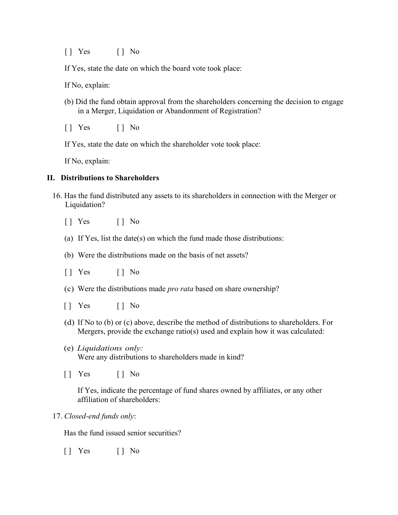$\begin{bmatrix} \end{bmatrix}$  Yes  $\begin{bmatrix} \end{bmatrix}$  No

If Yes, state the date on which the board vote took place:

If No, explain:

- (b) Did the fund obtain approval from the shareholders concerning the decision to engage in a Merger, Liquidation or Abandonment of Registration?
- $\begin{bmatrix} \end{bmatrix}$  Yes  $\begin{bmatrix} \end{bmatrix}$  No

If Yes, state the date on which the shareholder vote took place:

If No, explain:

#### **II. Distributions to Shareholders**

- 16. Has the fund distributed any assets to its shareholders in connection with the Merger or Liquidation?
	- $\begin{bmatrix} \end{bmatrix}$  Yes  $\begin{bmatrix} \end{bmatrix}$  No
	- (a) If Yes, list the date(s) on which the fund made those distributions:
	- (b) Were the distributions made on the basis of net assets?
	- $\begin{bmatrix} \end{bmatrix}$  Yes  $\begin{bmatrix} \end{bmatrix}$  No
	- (c) Were the distributions made *pro rata* based on share ownership?
	- $\begin{bmatrix} \end{bmatrix}$  Yes  $\begin{bmatrix} \end{bmatrix}$  No
	- (d) If No to (b) or (c) above, describe the method of distributions to shareholders. For Mergers, provide the exchange ratio(s) used and explain how it was calculated:
	- (e) *Liquidations only:* Were any distributions to shareholders made in kind?
	- $\begin{bmatrix} \end{bmatrix}$  Yes  $\begin{bmatrix} \end{bmatrix}$  No

If Yes, indicate the percentage of fund shares owned by affiliates, or any other affiliation of shareholders:

17. *Closed-end funds only*:

Has the fund issued senior securities?

 $\begin{bmatrix} \end{bmatrix}$  Yes  $\begin{bmatrix} \end{bmatrix}$  No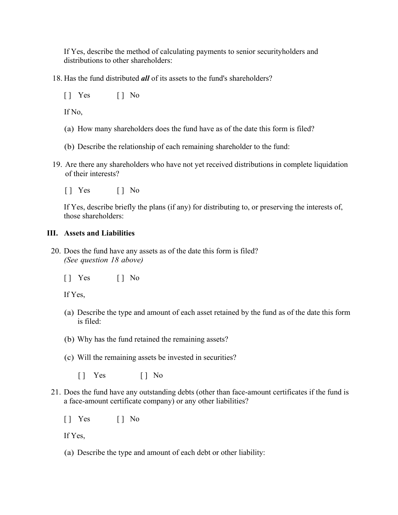If Yes, describe the method of calculating payments to senior securityholders and distributions to other shareholders:

18. Has the fund distributed *all* of its assets to the fund's shareholders?

 $\begin{bmatrix} 1 & \text{Yes} \\ \end{bmatrix}$   $\begin{bmatrix} 1 & \text{No} \\ \end{bmatrix}$ 

If No,

- (a) How many shareholders does the fund have as of the date this form is filed?
- (b) Describe the relationship of each remaining shareholder to the fund:
- 19. Are there any shareholders who have not yet received distributions in complete liquidation of their interests?
	- [ ] Yes [ ] No

If Yes, describe briefly the plans (if any) for distributing to, or preserving the interests of, those shareholders:

#### **III. Assets and Liabilities**

20. Does the fund have any assets as of the date this form is filed? *(See question 18 above)*

 $\begin{bmatrix} \end{bmatrix}$  Yes  $\begin{bmatrix} \end{bmatrix}$  No

If Yes,

- (a) Describe the type and amount of each asset retained by the fund as of the date this form is filed:
- (b) Why has the fund retained the remaining assets?
- (c) Will the remaining assets be invested in securities?
	- $\begin{bmatrix} \end{bmatrix}$  Yes  $\begin{bmatrix} \end{bmatrix}$  No
- 21. Does the fund have any outstanding debts (other than face-amount certificates if the fund is a face-amount certificate company) or any other liabilities?

[ ] Yes [ ] No

If Yes,

(a) Describe the type and amount of each debt or other liability: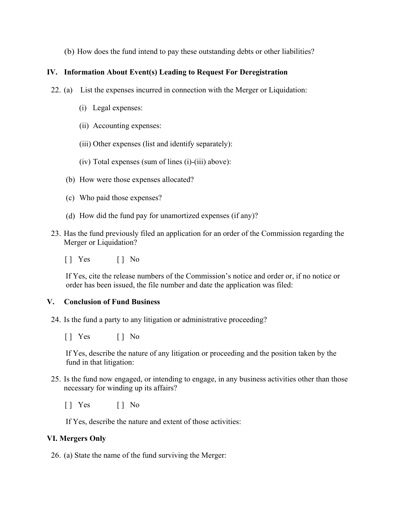(b) How does the fund intend to pay these outstanding debts or other liabilities?

#### **IV. Information About Event(s) Leading to Request For Deregistration**

- 22. (a) List the expenses incurred in connection with the Merger or Liquidation:
	- (i) Legal expenses:
	- (ii) Accounting expenses:
	- (iii) Other expenses (list and identify separately):
	- (iv) Total expenses (sum of lines (i)-(iii) above):
	- (b) How were those expenses allocated?
	- (c) Who paid those expenses?
	- (d) How did the fund pay for unamortized expenses (if any)?
- 23. Has the fund previously filed an application for an order of the Commission regarding the Merger or Liquidation?
	- $\begin{bmatrix} \end{bmatrix}$  Yes  $\begin{bmatrix} \end{bmatrix}$  No

If Yes, cite the release numbers of the Commission's notice and order or, if no notice or order has been issued, the file number and date the application was filed:

### **V. Conclusion of Fund Business**

24. Is the fund a party to any litigation or administrative proceeding?

[ ] Yes [ ] No

If Yes, describe the nature of any litigation or proceeding and the position taken by the fund in that litigation:

- 25. Is the fund now engaged, or intending to engage, in any business activities other than those necessary for winding up its affairs?
	- $\begin{bmatrix} 1 & \text{Yes} \\ \end{bmatrix}$   $\begin{bmatrix} 1 & \text{No} \\ \end{bmatrix}$

If Yes, describe the nature and extent of those activities:

### **VI. Mergers Only**

26. (a) State the name of the fund surviving the Merger: